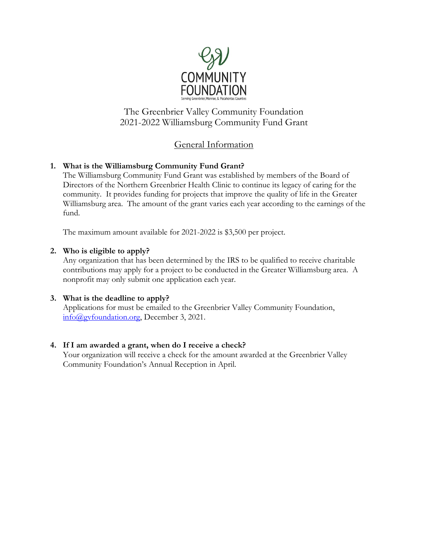

The Greenbrier Valley Community Foundation 2021-2022 Williamsburg Community Fund Grant

## General Information

### **1. What is the Williamsburg Community Fund Grant?**

The Williamsburg Community Fund Grant was established by members of the Board of Directors of the Northern Greenbrier Health Clinic to continue its legacy of caring for the community. It provides funding for projects that improve the quality of life in the Greater Williamsburg area. The amount of the grant varies each year according to the earnings of the fund.

The maximum amount available for 2021-2022 is \$3,500 per project.

#### **2. Who is eligible to apply?**

Any organization that has been determined by the IRS to be qualified to receive charitable contributions may apply for a project to be conducted in the Greater Williamsburg area. A nonprofit may only submit one application each year.

#### **3. What is the deadline to apply?**

Applications for must be emailed to the Greenbrier Valley Community Foundation, [info@gvfoundation.org,](mailto:info@gvfoundation.org) December 3, 2021.

#### **4. If I am awarded a grant, when do I receive a check?**

Your organization will receive a check for the amount awarded at the Greenbrier Valley Community Foundation's Annual Reception in April.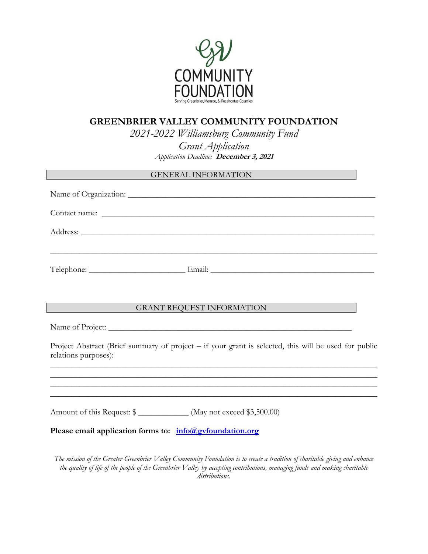

# **GREENBRIER VALLEY COMMUNITY FOUNDATION**

*2021-2022 Williamsburg Community Fund Grant Application Application Deadline:* **December 3, 2021**

| GENERAL INFORMATION PERSONAL PROPERTY OF STREET AND THE SERVICE OF STREET AND THE SERVICE OF STREET AND THE STREET OF STREET AND THE STREET AND THE STREET OF STREET AND THE STREET OF STREET AND THE STREET OF STREET AND THE |
|--------------------------------------------------------------------------------------------------------------------------------------------------------------------------------------------------------------------------------|
|                                                                                                                                                                                                                                |
|                                                                                                                                                                                                                                |
|                                                                                                                                                                                                                                |
|                                                                                                                                                                                                                                |
|                                                                                                                                                                                                                                |
|                                                                                                                                                                                                                                |
| GRANT REQUEST INFORMATION                                                                                                                                                                                                      |
|                                                                                                                                                                                                                                |
| Project Abstract (Brief summary of project – if your grant is selected, this will be used for public<br>relations purposes):                                                                                                   |
|                                                                                                                                                                                                                                |
| ,我们也不能在这里的时候,我们也不能在这里的时候,我们也不能会在这里的时候,我们也不能会在这里的时候,我们也不能会在这里的时候,我们也不能会在这里的时候,我们也不                                                                                                                                              |
| Amount of this Request: \$ ______________ (May not exceed \$3,500.00)                                                                                                                                                          |
| Please email application forms to: info@gyfoundation.org                                                                                                                                                                       |
|                                                                                                                                                                                                                                |

*The mission of the Greater Greenbrier Valley Community Foundation is to create a tradition of charitable giving and enhance the quality of life of the people of the Greenbrier Valley by accepting contributions, managing funds and making charitable distributions.*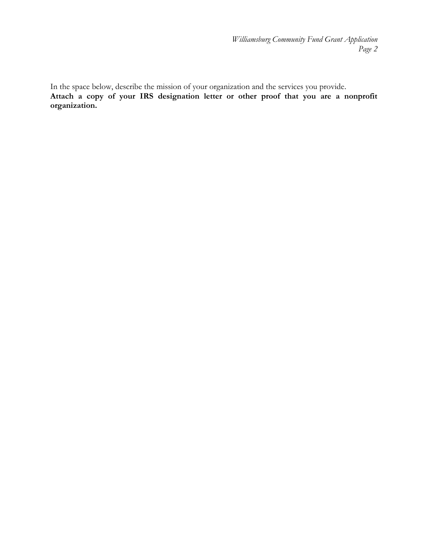*Williamsburg Community Fund Grant Application Page 2*

In the space below, describe the mission of your organization and the services you provide. **Attach a copy of your IRS designation letter or other proof that you are a nonprofit organization.**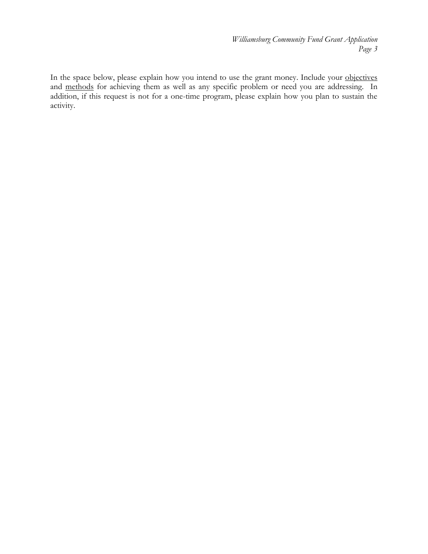*Williamsburg Community Fund Grant Application Page 3*

In the space below, please explain how you intend to use the grant money. Include your objectives and methods for achieving them as well as any specific problem or need you are addressing. In addition, if this request is not for a one-time program, please explain how you plan to sustain the activity.